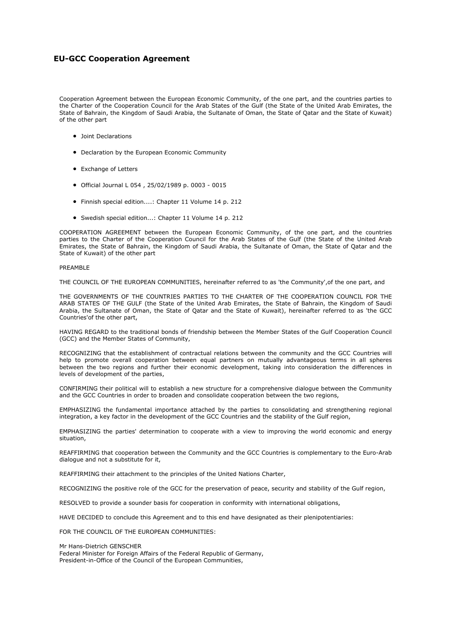# **EU-GCC Cooperation Agreement**

Cooperation Agreement between the European Economic Community, of the one part, and the countries parties to the Charter of the Cooperation Council for the Arab States of the Gulf (the State of the United Arab Emirates, the State of Bahrain, the Kingdom of Saudi Arabia, the Sultanate of Oman, the State of Qatar and the State of Kuwait) of the other part

- Joint Declarations
- Declaration by the European Economic Community
- Exchange of Letters
- Official Journal L 054 , 25/02/1989 p. 0003 0015
- Finnish special edition....: Chapter 11 Volume 14 p. 212
- Swedish special edition...: Chapter 11 Volume 14 p. 212

COOPERATION AGREEMENT between the European Economic Community, of the one part, and the countries parties to the Charter of the Cooperation Council for the Arab States of the Gulf (the State of the United Arab Emirates, the State of Bahrain, the Kingdom of Saudi Arabia, the Sultanate of Oman, the State of Qatar and the State of Kuwait) of the other part

#### PREAMBLE

THE COUNCIL OF THE EUROPEAN COMMUNITIES, hereinafter referred to as 'the Community',of the one part, and

THE GOVERNMENTS OF THE COUNTRIES PARTIES TO THE CHARTER OF THE COOPERATION COUNCIL FOR THE ARAB STATES OF THE GULF (the State of the United Arab Emirates, the State of Bahrain, the Kingdom of Saudi Arabia, the Sultanate of Oman, the State of Qatar and the State of Kuwait), hereinafter referred to as 'the GCC Countries'of the other part,

HAVING REGARD to the traditional bonds of friendship between the Member States of the Gulf Cooperation Council (GCC) and the Member States of Community,

RECOGNIZING that the establishment of contractual relations between the community and the GCC Countries will help to promote overall cooperation between equal partners on mutually advantageous terms in all spheres between the two regions and further their economic development, taking into consideration the differences in levels of development of the parties,

CONFIRMING their political will to establish a new structure for a comprehensive dialogue between the Community and the GCC Countries in order to broaden and consolidate cooperation between the two regions,

EMPHASIZING the fundamental importance attached by the parties to consolidating and strengthening regional integration, a key factor in the development of the GCC Countries and the stability of the Gulf region,

EMPHASIZING the parties' determination to cooperate with a view to improving the world economic and energy situation,

REAFFIRMING that cooperation between the Community and the GCC Countries is complementary to the Euro-Arab dialogue and not a substitute for it,

REAFFIRMING their attachment to the principles of the United Nations Charter,

RECOGNIZING the positive role of the GCC for the preservation of peace, security and stability of the Gulf region,

RESOLVED to provide a sounder basis for cooperation in conformity with international obligations,

HAVE DECIDED to conclude this Agreement and to this end have designated as their plenipotentiaries:

FOR THE COUNCIL OF THE EUROPEAN COMMUNITIES:

Mr Hans-Dietrich GENSCHER

Federal Minister for Foreign Affairs of the Federal Republic of Germany, President-in-Office of the Council of the European Communities,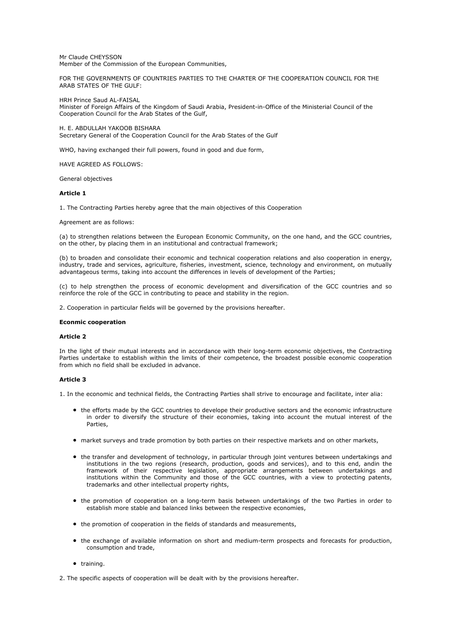Mr Claude CHEYSSON Member of the Commission of the European Communities,

FOR THE GOVERNMENTS OF COUNTRIES PARTIES TO THE CHARTER OF THE COOPERATION COUNCIL FOR THE ARAB STATES OF THE GULF:

HRH Prince Saud AL-FAISAL

Minister of Foreign Affairs of the Kingdom of Saudi Arabia, President-in-Office of the Ministerial Council of the Cooperation Council for the Arab States of the Gulf,

## H. E. ABDULLAH YAKOOB BISHARA

Secretary General of the Cooperation Council for the Arab States of the Gulf

WHO, having exchanged their full powers, found in good and due form,

HAVE AGREED AS FOLLOWS:

General objectives

## **Article 1**

1. The Contracting Parties hereby agree that the main objectives of this Cooperation

Agreement are as follows:

(a) to strengthen relations between the European Economic Community, on the one hand, and the GCC countries, on the other, by placing them in an institutional and contractual framework;

(b) to broaden and consolidate their economic and technical cooperation relations and also cooperation in energy, industry, trade and services, agriculture, fisheries, investment, science, technology and environment, on mutually advantageous terms, taking into account the differences in levels of development of the Parties;

(c) to help strengthen the process of economic development and diversification of the GCC countries and so reinforce the role of the GCC in contributing to peace and stability in the region.

2. Cooperation in particular fields will be governed by the provisions hereafter.

## **Econmic cooperation**

# **Article 2**

In the light of their mutual interests and in accordance with their long-term economic objectives, the Contracting Parties undertake to establish within the limits of their competence, the broadest possible economic cooperation from which no field shall be excluded in advance.

# **Article 3**

1. In the economic and technical fields, the Contracting Parties shall strive to encourage and facilitate, inter alia:

- the efforts made by the GCC countries to develope their productive sectors and the economic infrastructure in order to diversify the structure of their economies, taking into account the mutual interest of the Parties,
- market surveys and trade promotion by both parties on their respective markets and on other markets,
- the transfer and development of technology, in particular through joint ventures between undertakings and institutions in the two regions (research, production, goods and services), and to this end, andin the framework of their respective legislation, appropriate arrangements between undertakings and institutions within the Community and those of the GCC countries, with a view to protecting patents, trademarks and other intellectual property rights,
- the promotion of cooperation on a long-term basis between undertakings of the two Parties in order to establish more stable and balanced links between the respective economies,
- the promotion of cooperation in the fields of standards and measurements,
- the exchange of available information on short and medium-term prospects and forecasts for production, consumption and trade,
- training.

2. The specific aspects of cooperation will be dealt with by the provisions hereafter.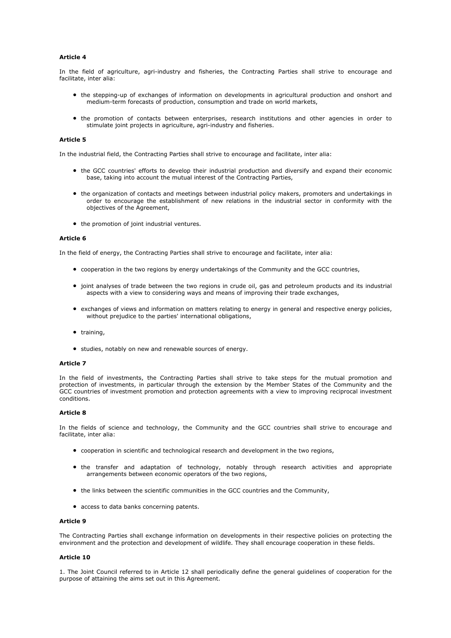# **Article 4**

In the field of agriculture, agri-industry and fisheries, the Contracting Parties shall strive to encourage and facilitate, inter alia:

- the stepping-up of exchanges of information on developments in agricultural production and onshort and medium-term forecasts of production, consumption and trade on world markets,
- the promotion of contacts between enterprises, research institutions and other agencies in order to stimulate joint projects in agriculture, agri-industry and fisheries.

# **Article 5**

In the industrial field, the Contracting Parties shall strive to encourage and facilitate, inter alia:

- the GCC countries' efforts to develop their industrial production and diversify and expand their economic base, taking into account the mutual interest of the Contracting Parties,
- the organization of contacts and meetings between industrial policy makers, promoters and undertakings in order to encourage the establishment of new relations in the industrial sector in conformity with the objectives of the Agreement,
- the promotion of joint industrial ventures.

# **Article 6**

In the field of energy, the Contracting Parties shall strive to encourage and facilitate, inter alia:

- cooperation in the two regions by energy undertakings of the Community and the GCC countries,
- joint analyses of trade between the two regions in crude oil, gas and petroleum products and its industrial aspects with a view to considering ways and means of improving their trade exchanges,
- exchanges of views and information on matters relating to energy in general and respective energy policies, without prejudice to the parties' international obligations,
- training,
- studies, notably on new and renewable sources of energy.

## **Article 7**

In the field of investments, the Contracting Parties shall strive to take steps for the mutual promotion and protection of investments, in particular through the extension by the Member States of the Community and the GCC countries of investment promotion and protection agreements with a view to improving reciprocal investment conditions.

# **Article 8**

In the fields of science and technology, the Community and the GCC countries shall strive to encourage and facilitate, inter alia:

- cooperation in scientific and technological research and development in the two regions,
- the transfer and adaptation of technology, notably through research activities and appropriate arrangements between economic operators of the two regions,
- the links between the scientific communities in the GCC countries and the Community,
- access to data banks concerning patents.

# **Article 9**

The Contracting Parties shall exchange information on developments in their respective policies on protecting the environment and the protection and development of wildlife. They shall encourage cooperation in these fields.

## **Article 10**

1. The Joint Council referred to in Article 12 shall periodically define the general guidelines of cooperation for the purpose of attaining the aims set out in this Agreement.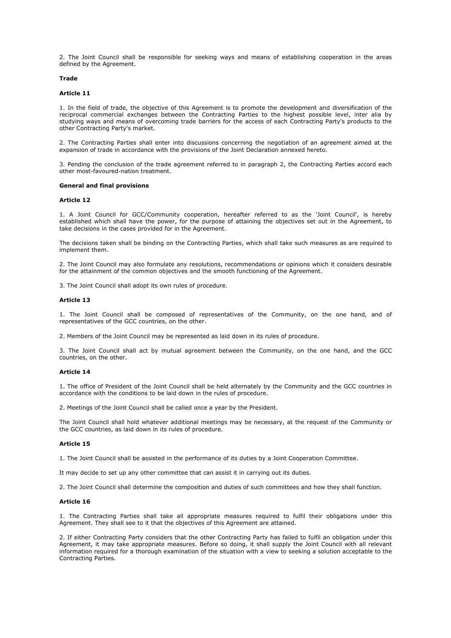2. The Joint Council shall be responsible for seeking ways and means of establishing cooperation in the areas defined by the Agreement.

# **Trade**

## **Article 11**

1. In the field of trade, the objective of this Agreement is to promote the development and diversification of the reciprocal commercial exchanges between the Contracting Parties to the highest possible level, inter alia by studying ways and means of overcoming trade barriers for the access of each Contracting Party's products to the other Contracting Party's market.

2. The Contracting Parties shall enter into discussions concerning the negotiation of an agreement aimed at the expansion of trade in accordance with the provisions of the Joint Declaration annexed hereto.

3. Pending the conclusion of the trade agreement referred to in paragraph 2, the Contracting Parties accord each other most-favoured-nation treatment.

# **General and final provisions**

#### **Article 12**

1. A Joint Council for GCC/Community cooperation, hereafter referred to as the 'Joint Council', is hereby established which shall have the power, for the purpose of attaining the objectives set out in the Agreement, to take decisions in the cases provided for in the Agreement.

The decisions taken shall be binding on the Contracting Parties, which shall take such measures as are required to implement them.

2. The Joint Council may also formulate any resolutions, recommendations or opinions which it considers desirable for the attainment of the common objectives and the smooth functioning of the Agreement.

3. The Joint Council shall adopt its own rules of procedure.

#### **Article 13**

1. The Joint Council shall be composed of representatives of the Community, on the one hand, and of representatives of the GCC countries, on the other.

2. Members of the Joint Council may be represented as laid down in its rules of procedure.

3. The Joint Council shall act by mutual agreement between the Community, on the one hand, and the GCC countries, on the other.

## **Article 14**

1. The office of President of the Joint Council shall be held alternately by the Community and the GCC countries in accordance with the conditions to be laid down in the rules of procedure.

2. Meetings of the Joint Council shall be called once a year by the President.

The Joint Council shall hold whatever additional meetings may be necessary, at the request of the Community or the GCC countries, as laid down in its rules of procedure.

## **Article 15**

1. The Joint Council shall be assisted in the performance of its duties by a Joint Cooperation Committee.

It may decide to set up any other committee that can assist it in carrying out its duties.

2. The Joint Council shall determine the composition and duties of such committees and how they shall function.

#### **Article 16**

1. The Contracting Parties shall take all appropriate measures required to fulfil their obligations under this Agreement. They shall see to it that the objectives of this Agreement are attained.

2. If either Contracting Party considers that the other Contracting Party has failed to fulfil an obligation under this Agreement, it may take appropriate measures. Before so doing, it shall supply the Joint Council with all relevant information required for a thorough examination of the situation with a view to seeking a solution acceptable to the Contracting Parties.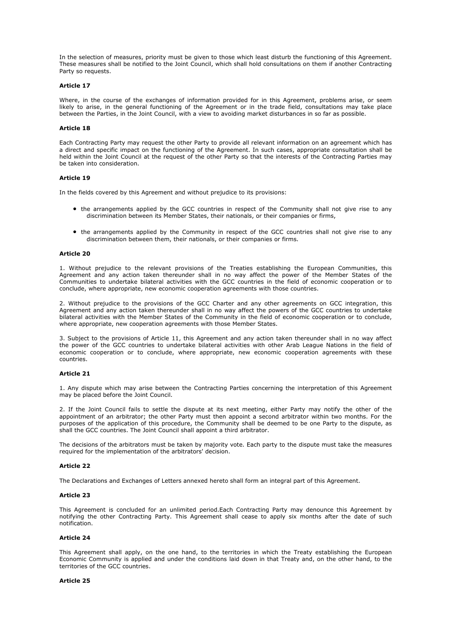In the selection of measures, priority must be given to those which least disturb the functioning of this Agreement. These measures shall be notified to the Joint Council, which shall hold consultations on them if another Contracting Party so requests.

## **Article 17**

Where, in the course of the exchanges of information provided for in this Agreement, problems arise, or seem likely to arise, in the general functioning of the Agreement or in the trade field, consultations may take place between the Parties, in the Joint Council, with a view to avoiding market disturbances in so far as possible.

## **Article 18**

Each Contracting Party may request the other Party to provide all relevant information on an agreement which has a direct and specific impact on the functioning of the Agreement. In such cases, appropriate consultation shall be held within the Joint Council at the request of the other Party so that the interests of the Contracting Parties may be taken into consideration.

#### **Article 19**

In the fields covered by this Agreement and without prejudice to its provisions:

- the arrangements applied by the GCC countries in respect of the Community shall not give rise to any discrimination between its Member States, their nationals, or their companies or firms,
- the arrangements applied by the Community in respect of the GCC countries shall not give rise to any discrimination between them, their nationals, or their companies or firms.

# **Article 20**

1. Without prejudice to the relevant provisions of the Treaties establishing the European Communities, this Agreement and any action taken thereunder shall in no way affect the power of the Member States of the Communities to undertake bilateral activities with the GCC countries in the field of economic cooperation or to conclude, where appropriate, new economic cooperation agreements with those countries.

2. Without prejudice to the provisions of the GCC Charter and any other agreements on GCC integration, this Agreement and any action taken thereunder shall in no way affect the powers of the GCC countries to undertake bilateral activities with the Member States of the Community in the field of economic cooperation or to conclude, where appropriate, new cooperation agreements with those Member States.

3. Subject to the provisions of Article 11, this Agreement and any action taken thereunder shall in no way affect the power of the GCC countries to undertake bilateral activities with other Arab League Nations in the field of economic cooperation or to conclude, where appropriate, new economic cooperation agreements with these countries.

#### **Article 21**

1. Any dispute which may arise between the Contracting Parties concerning the interpretation of this Agreement may be placed before the Joint Council.

2. If the Joint Council fails to settle the dispute at its next meeting, either Party may notify the other of the appointment of an arbitrator; the other Party must then appoint a second arbitrator within two months. For the purposes of the application of this procedure, the Community shall be deemed to be one Party to the dispute, as shall the GCC countries. The Joint Council shall appoint a third arbitrator.

The decisions of the arbitrators must be taken by majority vote. Each party to the dispute must take the measures required for the implementation of the arbitrators' decision.

## **Article 22**

The Declarations and Exchanges of Letters annexed hereto shall form an integral part of this Agreement.

# **Article 23**

This Agreement is concluded for an unlimited period.Each Contracting Party may denounce this Agreement by notifying the other Contracting Party. This Agreement shall cease to apply six months after the date of such notification.

#### **Article 24**

This Agreement shall apply, on the one hand, to the territories in which the Treaty establishing the European Economic Community is applied and under the conditions laid down in that Treaty and, on the other hand, to the territories of the GCC countries.

#### **Article 25**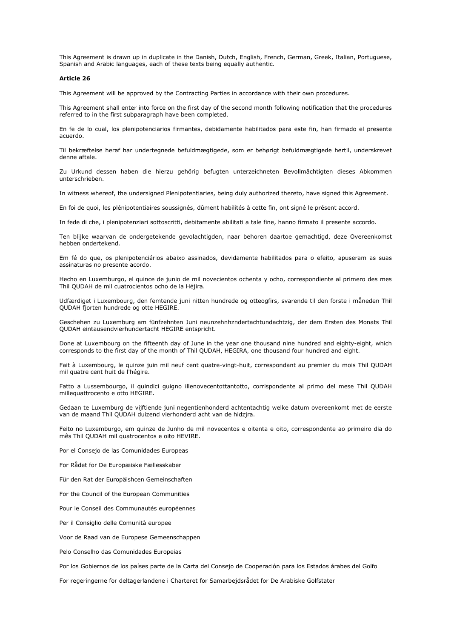This Agreement is drawn up in duplicate in the Danish, Dutch, English, French, German, Greek, Italian, Portuguese, Spanish and Arabic languages, each of these texts being equally authentic.

#### **Article 26**

This Agreement will be approved by the Contracting Parties in accordance with their own procedures.

This Agreement shall enter into force on the first day of the second month following notification that the procedures referred to in the first subparagraph have been completed.

En fe de lo cual, los plenipotenciarios firmantes, debidamente habilitados para este fin, han firmado el presente acuerdo.

Til bekræftelse heraf har undertegnede befuldmægtigede, som er behørigt befuldmægtigede hertil, underskrevet denne aftale.

Zu Urkund dessen haben die hierzu gehörig befugten unterzeichneten Bevollmächtigten dieses Abkommen unterschrieben.

In witness whereof, the undersigned Plenipotentiaries, being duly authorized thereto, have signed this Agreement.

En foi de quoi, les plénipotentiaires soussignés, dûment habilités à cette fin, ont signé le présent accord.

In fede di che, i plenipotenziari sottoscritti, debitamente abilitati a tale fine, hanno firmato il presente accordo.

Ten blijke waarvan de ondergetekende gevolachtigden, naar behoren daartoe gemachtigd, deze Overeenkomst hebben ondertekend.

Em fé do que, os plenipotenciários abaixo assinados, devidamente habilitados para o efeito, apuseram as suas assinaturas no presente acordo.

Hecho en Luxemburgo, el quince de junio de mil novecientos ochenta y ocho, correspondiente al primero des mes Thil QUDAH de mil cuatrocientos ocho de la Héjira.

Udfærdiget i Luxembourg, den femtende juni nitten hundrede og otteogfirs, svarende til den forste i måneden Thil QUDAH fjorten hundrede og otte HEGIRE.

Geschehen zu Luxemburg am fünfzehnten Juni neunzehnhzndertachtundachtzig, der dem Ersten des Monats Thil QUDAH eintausendvierhundertacht HEGIRE entspricht.

Done at Luxembourg on the fifteenth day of June in the year one thousand nine hundred and eighty-eight, which corresponds to the first day of the month of Thil QUDAH, HEGIRA, one thousand four hundred and eight.

Fait à Luxembourg, le quinze juin mil neuf cent quatre-vingt-huit, correspondant au premier du mois Thil QUDAH mil quatre cent huit de l'hégire.

Fatto a Lussembourgo, il quindici guigno illenovecentottantotto, corrispondente al primo del mese Thil QUDAH millequattrocento e otto HEGIRE.

Gedaan te Luxemburg de vijftiende juni negentienhonderd achtentachtig welke datum overeenkomt met de eerste van de maand Thil QUDAH duizend vierhonderd acht van de hidzjra.

Feito no Luxemburgo, em quinze de Junho de mil novecentos e oitenta e oito, correspondente ao primeiro dia do mês Thil QUDAH mil quatrocentos e oito HEVIRE.

Por el Consejo de las Comunidades Europeas

For Rådet for De Europæiske Fællesskaber

Für den Rat der Europäishcen Gemeinschaften

For the Council of the European Communities

Pour le Conseil des Communautés européennes

Per il Consiglio delle Comunità europee

Voor de Raad van de Europese Gemeenschappen

Pelo Conselho das Comunidades Europeias

Por los Gobiernos de los países parte de la Carta del Consejo de Cooperación para los Estados árabes del Golfo

For regeringerne for deltagerlandene i Charteret for Samarbejdsrådet for De Arabiske Golfstater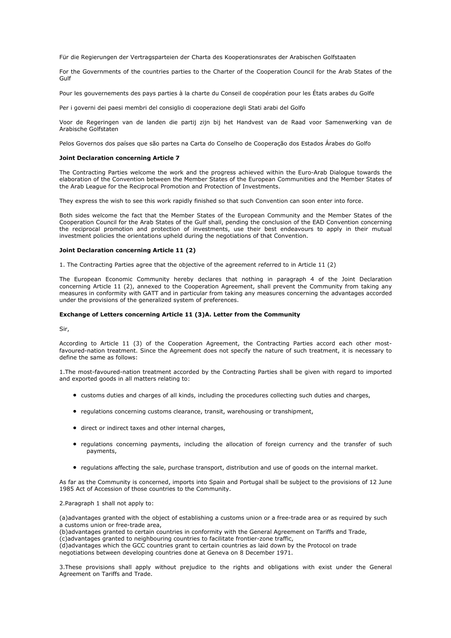Für die Regierungen der Vertragsparteien der Charta des Kooperationsrates der Arabischen Golfstaaten

For the Governments of the countries parties to the Charter of the Cooperation Council for the Arab States of the Gulf

Pour les gouvernements des pays parties à la charte du Conseil de coopération pour les États arabes du Golfe

Per i governi dei paesi membri del consiglio di cooperazione degli Stati arabi del Golfo

Voor de Regeringen van de landen die partij zijn bij het Handvest van de Raad voor Samenwerking van de Arabische Golfstaten

Pelos Governos dos países que são partes na Carta do Conselho de Cooperação dos Estados Árabes do Golfo

## **Joint Declaration concerning Article 7**

The Contracting Parties welcome the work and the progress achieved within the Euro-Arab Dialogue towards the elaboration of the Convention between the Member States of the European Communities and the Member States of the Arab League for the Reciprocal Promotion and Protection of Investments.

They express the wish to see this work rapidly finished so that such Convention can soon enter into force.

Both sides welcome the fact that the Member States of the European Community and the Member States of the Cooperation Council for the Arab States of the Gulf shall, pending the conclusion of the EAD Convention concerning the reciprocal promotion and protection of investments, use their best endeavours to apply in their mutual investment policies the orientations upheld during the negotiations of that Convention.

#### **Joint Declaration concerning Article 11 (2)**

1. The Contracting Parties agree that the objective of the agreement referred to in Article 11 (2)

The European Economic Community hereby declares that nothing in paragraph 4 of the Joint Declaration concerning Article 11 (2), annexed to the Cooperation Agreement, shall prevent the Community from taking any measures in conformity with GATT and in particular from taking any measures concerning the advantages accorded under the provisions of the generalized system of preferences.

#### **Exchange of Letters concerning Article 11 (3)A. Letter from the Community**

Sir,

According to Article 11 (3) of the Cooperation Agreement, the Contracting Parties accord each other mostfavoured-nation treatment. Since the Agreement does not specify the nature of such treatment, it is necessary to define the same as follows:

1.The most-favoured-nation treatment accorded by the Contracting Parties shall be given with regard to imported and exported goods in all matters relating to:

- customs duties and charges of all kinds, including the procedures collecting such duties and charges,
- regulations concerning customs clearance, transit, warehousing or transhipment,
- direct or indirect taxes and other internal charges.
- regulations concerning payments, including the allocation of foreign currency and the transfer of such payments,
- regulations affecting the sale, purchase transport, distribution and use of goods on the internal market.

As far as the Community is concerned, imports into Spain and Portugal shall be subject to the provisions of 12 June 1985 Act of Accession of those countries to the Community.

# 2.Paragraph 1 shall not apply to:

(a)advantages granted with the object of establishing a customs union or a free-trade area or as required by such a customs union or free-trade area,

(b)advantages granted to certain countries in conformity with the General Agreement on Tariffs and Trade,

(c)advantages granted to neighbouring countries to facilitate frontier-zone traffic,

(d)advantages which the GCC countries grant to certain countries as laid down by the Protocol on trade negotiations between developing countries done at Geneva on 8 December 1971.

3.These provisions shall apply without prejudice to the rights and obligations with exist under the General Agreement on Tariffs and Trade.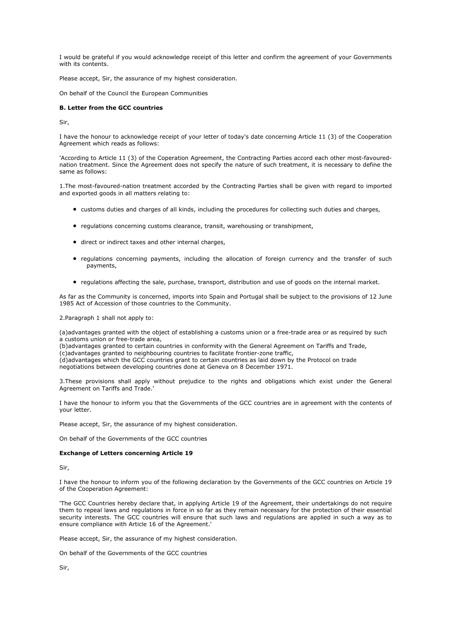I would be grateful if you would acknowledge receipt of this letter and confirm the agreement of your Governments with its contents.

Please accept, Sir, the assurance of my highest consideration.

On behalf of the Council the European Communities

# **B. Letter from the GCC countries**

Sir,

I have the honour to acknowledge receipt of your letter of today's date concerning Article 11 (3) of the Cooperation Agreement which reads as follows:

'According to Article 11 (3) of the Coperation Agreement, the Contracting Parties accord each other most-favourednation treatment. Since the Agreement does not specify the nature of such treatment, it is necessary to define the same as follows:

1.The most-favoured-nation treatment accorded by the Contracting Parties shall be given with regard to imported and exported goods in all matters relating to:

- customs duties and charges of all kinds, including the procedures for collecting such duties and charges,
- regulations concerning customs clearance, transit, warehousing or transhipment,
- direct or indirect taxes and other internal charges,
- regulations concerning payments, including the allocation of foreign currency and the transfer of such payments,
- regulations affecting the sale, purchase, transport, distribution and use of goods on the internal market.

As far as the Community is concerned, imports into Spain and Portugal shall be subject to the provisions of 12 June 1985 Act of Accession of those countries to the Community.

2.Paragraph 1 shall not apply to:

(a)advantages granted with the object of establishing a customs union or a free-trade area or as required by such a customs union or free-trade area,

(b)advantages granted to certain countries in conformity with the General Agreement on Tariffs and Trade, (c)advantages granted to neighbouring countries to facilitate frontier-zone traffic,

(d)advantages which the GCC countries grant to certain countries as laid down by the Protocol on trade

negotiations between developing countries done at Geneva on 8 December 1971.

3.These provisions shall apply without prejudice to the rights and obligations which exist under the General Agreement on Tariffs and Trade.'

I have the honour to inform you that the Governments of the GCC countries are in agreement with the contents of your letter.

Please accept, Sir, the assurance of my highest consideration.

On behalf of the Governments of the GCC countries

# **Exchange of Letters concerning Article 19**

Sir,

I have the honour to inform you of the following declaration by the Governments of the GCC countries on Article 19 of the Cooperation Agreement:

'The GCC Countries hereby declare that, in applying Article 19 of the Agreement, their undertakings do not require them to repeal laws and regulations in force in so far as they remain necessary for the protection of their essential security interests. The GCC countries will ensure that such laws and regulations are applied in such a way as to ensure compliance with Article 16 of the Agreement.'

Please accept, Sir, the assurance of my highest consideration.

On behalf of the Governments of the GCC countries

Sir,